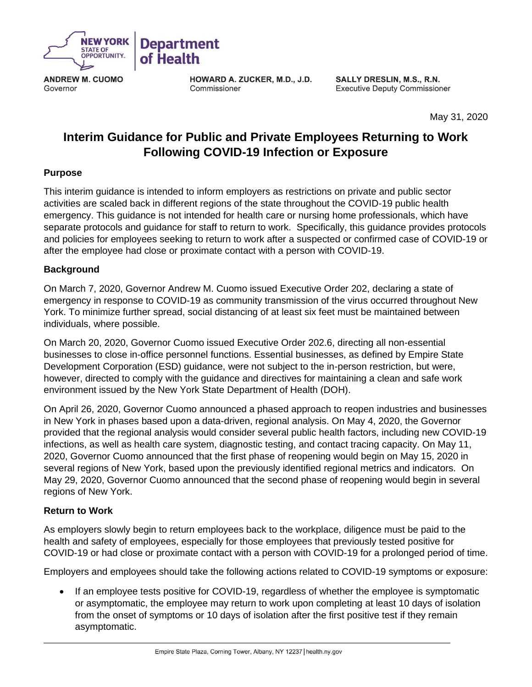

**ANDREW M. CUOMO** Governor

HOWARD A. ZUCKER, M.D., J.D. Commissioner

SALLY DRESLIN, M.S., R.N. **Executive Deputy Commissioner** 

May 31, 2020

# **Interim Guidance for Public and Private Employees Returning to Work Following COVID-19 Infection or Exposure**

### **Purpose**

This interim guidance is intended to inform employers as restrictions on private and public sector activities are scaled back in different regions of the state throughout the COVID-19 public health emergency. This guidance is not intended for health care or nursing home professionals, which have separate protocols and guidance for staff to return to work. Specifically, this guidance provides protocols and policies for employees seeking to return to work after a suspected or confirmed case of COVID-19 or after the employee had close or proximate contact with a person with COVID-19.

## **Background**

On March 7, 2020, Governor Andrew M. Cuomo issued Executive Order 202, declaring a state of emergency in response to COVID-19 as community transmission of the virus occurred throughout New York. To minimize further spread, social distancing of at least six feet must be maintained between individuals, where possible.

On March 20, 2020, Governor Cuomo issued Executive Order 202.6, directing all non-essential businesses to close in-office personnel functions. Essential businesses, as defined by Empire State Development Corporation (ESD) guidance, were not subject to the in-person restriction, but were, however, directed to comply with the guidance and directives for maintaining a clean and safe work environment issued by the New York State Department of Health (DOH).

On April 26, 2020, Governor Cuomo announced a phased approach to reopen industries and businesses in New York in phases based upon a data-driven, regional analysis. On May 4, 2020, the Governor provided that the regional analysis would consider several public health factors, including new COVID-19 infections, as well as health care system, diagnostic testing, and contact tracing capacity. On May 11, 2020, Governor Cuomo announced that the first phase of reopening would begin on May 15, 2020 in several regions of New York, based upon the previously identified regional metrics and indicators. On May 29, 2020, Governor Cuomo announced that the second phase of reopening would begin in several regions of New York.

## **Return to Work**

As employers slowly begin to return employees back to the workplace, diligence must be paid to the health and safety of employees, especially for those employees that previously tested positive for COVID-19 or had close or proximate contact with a person with COVID-19 for a prolonged period of time.

Employers and employees should take the following actions related to COVID-19 symptoms or exposure:

• If an employee tests positive for COVID-19, regardless of whether the employee is symptomatic or asymptomatic, the employee may return to work upon completing at least 10 days of isolation from the onset of symptoms or 10 days of isolation after the first positive test if they remain asymptomatic.